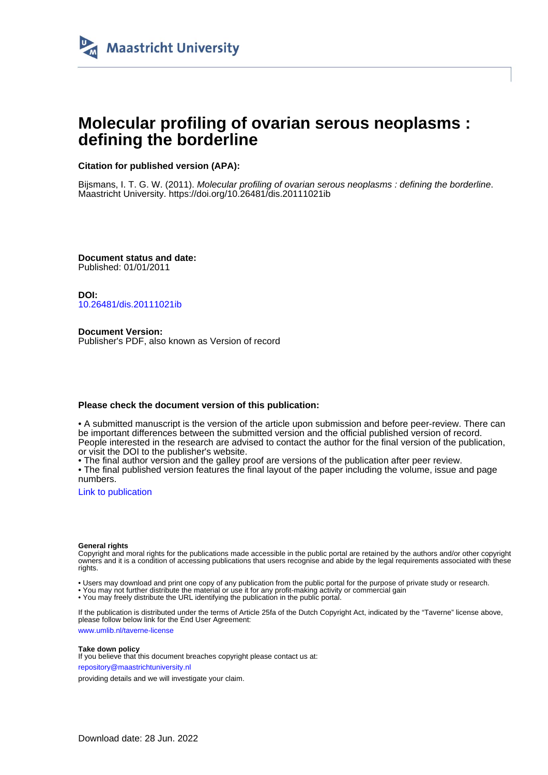

# **Molecular profiling of ovarian serous neoplasms : defining the borderline**

## **Citation for published version (APA):**

Bijsmans, I. T. G. W. (2011). Molecular profiling of ovarian serous neoplasms : defining the borderline. Maastricht University.<https://doi.org/10.26481/dis.20111021ib>

**Document status and date:** Published: 01/01/2011

**DOI:** [10.26481/dis.20111021ib](https://doi.org/10.26481/dis.20111021ib)

**Document Version:** Publisher's PDF, also known as Version of record

### **Please check the document version of this publication:**

• A submitted manuscript is the version of the article upon submission and before peer-review. There can be important differences between the submitted version and the official published version of record. People interested in the research are advised to contact the author for the final version of the publication, or visit the DOI to the publisher's website.

• The final author version and the galley proof are versions of the publication after peer review.

• The final published version features the final layout of the paper including the volume, issue and page numbers.

[Link to publication](https://cris.maastrichtuniversity.nl/en/publications/0f75cfa9-b9a8-441f-b122-14147229cdb0)

#### **General rights**

Copyright and moral rights for the publications made accessible in the public portal are retained by the authors and/or other copyright owners and it is a condition of accessing publications that users recognise and abide by the legal requirements associated with these rights.

• Users may download and print one copy of any publication from the public portal for the purpose of private study or research.

• You may not further distribute the material or use it for any profit-making activity or commercial gain

• You may freely distribute the URL identifying the publication in the public portal.

If the publication is distributed under the terms of Article 25fa of the Dutch Copyright Act, indicated by the "Taverne" license above, please follow below link for the End User Agreement:

www.umlib.nl/taverne-license

#### **Take down policy**

If you believe that this document breaches copyright please contact us at: repository@maastrichtuniversity.nl

providing details and we will investigate your claim.